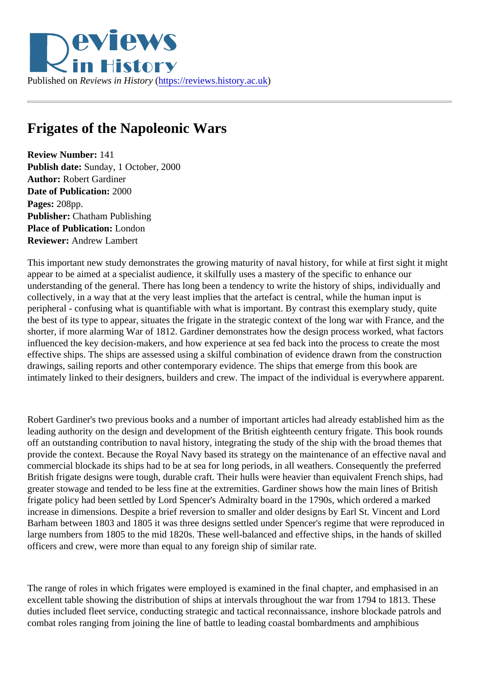## Frigates of the Napoleonic Wars

Review Number: 141 Publish date: Sunday, 1 October, 2000 Author: Robert Gardiner Date of Publication: 2000 Pages: 208pp. Publisher: Chatham Publishing Place of Publication: London Reviewer: Andrew Lambert

This important new study demonstrates the growing maturity of naval history, for while at first sight it might appear to be aimed at a specialist audience, it skilfully uses a mastery of the specific to enhance our understanding of the general. There has long been a tendency to write the history of ships, individually and collectively, in a way that at the very least implies that the artefact is central, while the human input is peripheral - confusing what is quantifiable with what is important. By contrast this exemplary study, quite the best of its type to appear, situates the frigate in the strategic context of the long war with France, and t shorter, if more alarming War of 1812. Gardiner demonstrates how the design process worked, what facto influenced the key decision-makers, and how experience at sea fed back into the process to create the mo effective ships. The ships are assessed using a skilful combination of evidence drawn from the constructic drawings, sailing reports and other contemporary evidence. The ships that emerge from this book are intimately linked to their designers, builders and crew. The impact of the individual is everywhere apparent

Robert Gardiner's two previous books and a number of important articles had already established him as t leading authority on the design and development of the British eighteenth century frigate. This book round off an outstanding contribution to naval history, integrating the study of the ship with the broad themes that provide the context. Because the Royal Navy based its strategy on the maintenance of an effective naval and commercial blockade its ships had to be at sea for long periods, in all weathers. Consequently the preferre British frigate designs were tough, durable craft. Their hulls were heavier than equivalent French ships, ha greater stowage and tended to be less fine at the extremities. Gardiner shows how the main lines of British frigate policy had been settled by Lord Spencer's Admiralty board in the 1790s, which ordered a marked increase in dimensions. Despite a brief reversion to smaller and older designs by Earl St. Vincent and Lord Barham between 1803 and 1805 it was three designs settled under Spencer's regime that were reproduce large numbers from 1805 to the mid 1820s. These well-balanced and effective ships, in the hands of skille officers and crew, were more than equal to any foreign ship of similar rate.

The range of roles in which frigates were employed is examined in the final chapter, and emphasised in an excellent table showing the distribution of ships at intervals throughout the war from 1794 to 1813. These duties included fleet service, conducting strategic and tactical reconnaissance, inshore blockade patrols and combat roles ranging from joining the line of battle to leading coastal bombardments and amphibious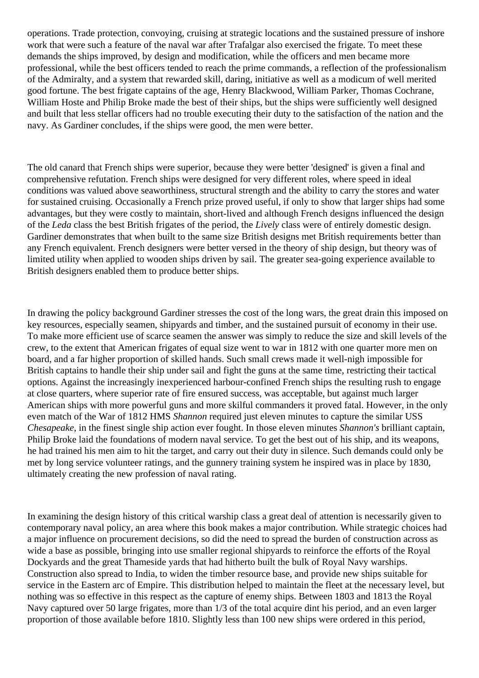operations. Trade protection, convoying, cruising at strategic locations and the sustained pressure of inshore work that were such a feature of the naval war after Trafalgar also exercised the frigate. To meet these demands the ships improved, by design and modification, while the officers and men became more professional, while the best officers tended to reach the prime commands, a reflection of the professionalism of the Admiralty, and a system that rewarded skill, daring, initiative as well as a modicum of well merited good fortune. The best frigate captains of the age, Henry Blackwood, William Parker, Thomas Cochrane, William Hoste and Philip Broke made the best of their ships, but the ships were sufficiently well designed and built that less stellar officers had no trouble executing their duty to the satisfaction of the nation and the navy. As Gardiner concludes, if the ships were good, the men were better.

The old canard that French ships were superior, because they were better 'designed' is given a final and comprehensive refutation. French ships were designed for very different roles, where speed in ideal conditions was valued above seaworthiness, structural strength and the ability to carry the stores and water for sustained cruising. Occasionally a French prize proved useful, if only to show that larger ships had some advantages, but they were costly to maintain, short-lived and although French designs influenced the design of the *Leda* class the best British frigates of the period, the *Lively* class were of entirely domestic design. Gardiner demonstrates that when built to the same size British designs met British requirements better than any French equivalent. French designers were better versed in the theory of ship design, but theory was of limited utility when applied to wooden ships driven by sail. The greater sea-going experience available to British designers enabled them to produce better ships.

In drawing the policy background Gardiner stresses the cost of the long wars, the great drain this imposed on key resources, especially seamen, shipyards and timber, and the sustained pursuit of economy in their use. To make more efficient use of scarce seamen the answer was simply to reduce the size and skill levels of the crew, to the extent that American frigates of equal size went to war in 1812 with one quarter more men on board, and a far higher proportion of skilled hands. Such small crews made it well-nigh impossible for British captains to handle their ship under sail and fight the guns at the same time, restricting their tactical options. Against the increasingly inexperienced harbour-confined French ships the resulting rush to engage at close quarters, where superior rate of fire ensured success, was acceptable, but against much larger American ships with more powerful guns and more skilful commanders it proved fatal. However, in the only even match of the War of 1812 HMS *Shannon* required just eleven minutes to capture the similar USS *Chesapeake*, in the finest single ship action ever fought. In those eleven minutes *Shannon's* brilliant captain, Philip Broke laid the foundations of modern naval service. To get the best out of his ship, and its weapons, he had trained his men aim to hit the target, and carry out their duty in silence. Such demands could only be met by long service volunteer ratings, and the gunnery training system he inspired was in place by 1830, ultimately creating the new profession of naval rating.

In examining the design history of this critical warship class a great deal of attention is necessarily given to contemporary naval policy, an area where this book makes a major contribution. While strategic choices had a major influence on procurement decisions, so did the need to spread the burden of construction across as wide a base as possible, bringing into use smaller regional shipyards to reinforce the efforts of the Royal Dockyards and the great Thameside yards that had hitherto built the bulk of Royal Navy warships. Construction also spread to India, to widen the timber resource base, and provide new ships suitable for service in the Eastern arc of Empire. This distribution helped to maintain the fleet at the necessary level, but nothing was so effective in this respect as the capture of enemy ships. Between 1803 and 1813 the Royal Navy captured over 50 large frigates, more than 1/3 of the total acquire dint his period, and an even larger proportion of those available before 1810. Slightly less than 100 new ships were ordered in this period,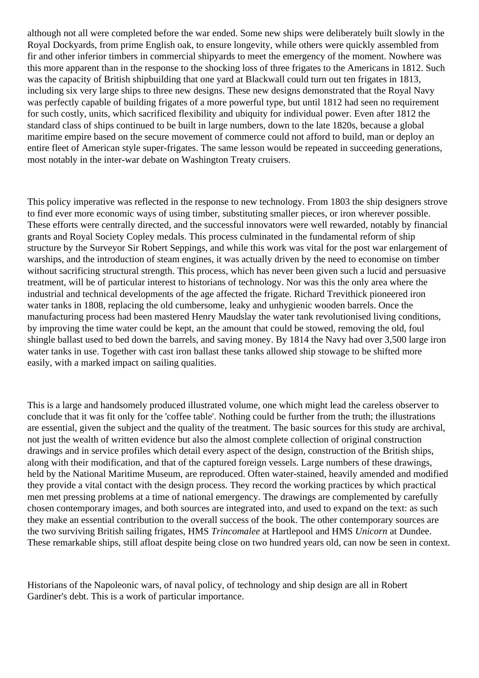although not all were completed before the war ended. Some new ships were deliberately built slowly in the Royal Dockyards, from prime English oak, to ensure longevity, while others were quickly assembled from fir and other inferior timbers in commercial shipyards to meet the emergency of the moment. Nowhere was this more apparent than in the response to the shocking loss of three frigates to the Americans in 1812. Such was the capacity of British shipbuilding that one yard at Blackwall could turn out ten frigates in 1813, including six very large ships to three new designs. These new designs demonstrated that the Royal Navy was perfectly capable of building frigates of a more powerful type, but until 1812 had seen no requirement for such costly, units, which sacrificed flexibility and ubiquity for individual power. Even after 1812 the standard class of ships continued to be built in large numbers, down to the late 1820s, because a global maritime empire based on the secure movement of commerce could not afford to build, man or deploy an entire fleet of American style super-frigates. The same lesson would be repeated in succeeding generations, most notably in the inter-war debate on Washington Treaty cruisers.

This policy imperative was reflected in the response to new technology. From 1803 the ship designers strove to find ever more economic ways of using timber, substituting smaller pieces, or iron wherever possible. These efforts were centrally directed, and the successful innovators were well rewarded, notably by financial grants and Royal Society Copley medals. This process culminated in the fundamental reform of ship structure by the Surveyor Sir Robert Seppings, and while this work was vital for the post war enlargement of warships, and the introduction of steam engines, it was actually driven by the need to economise on timber without sacrificing structural strength. This process, which has never been given such a lucid and persuasive treatment, will be of particular interest to historians of technology. Nor was this the only area where the industrial and technical developments of the age affected the frigate. Richard Trevithick pioneered iron water tanks in 1808, replacing the old cumbersome, leaky and unhygienic wooden barrels. Once the manufacturing process had been mastered Henry Maudslay the water tank revolutionised living conditions, by improving the time water could be kept, an the amount that could be stowed, removing the old, foul shingle ballast used to bed down the barrels, and saving money. By 1814 the Navy had over 3,500 large iron water tanks in use. Together with cast iron ballast these tanks allowed ship stowage to be shifted more easily, with a marked impact on sailing qualities.

This is a large and handsomely produced illustrated volume, one which might lead the careless observer to conclude that it was fit only for the 'coffee table'. Nothing could be further from the truth; the illustrations are essential, given the subject and the quality of the treatment. The basic sources for this study are archival, not just the wealth of written evidence but also the almost complete collection of original construction drawings and in service profiles which detail every aspect of the design, construction of the British ships, along with their modification, and that of the captured foreign vessels. Large numbers of these drawings, held by the National Maritime Museum, are reproduced. Often water-stained, heavily amended and modified they provide a vital contact with the design process. They record the working practices by which practical men met pressing problems at a time of national emergency. The drawings are complemented by carefully chosen contemporary images, and both sources are integrated into, and used to expand on the text: as such they make an essential contribution to the overall success of the book. The other contemporary sources are the two surviving British sailing frigates, HMS *Trincomalee* at Hartlepool and HMS *Unicorn* at Dundee. These remarkable ships, still afloat despite being close on two hundred years old, can now be seen in context.

Historians of the Napoleonic wars, of naval policy, of technology and ship design are all in Robert Gardiner's debt. This is a work of particular importance.